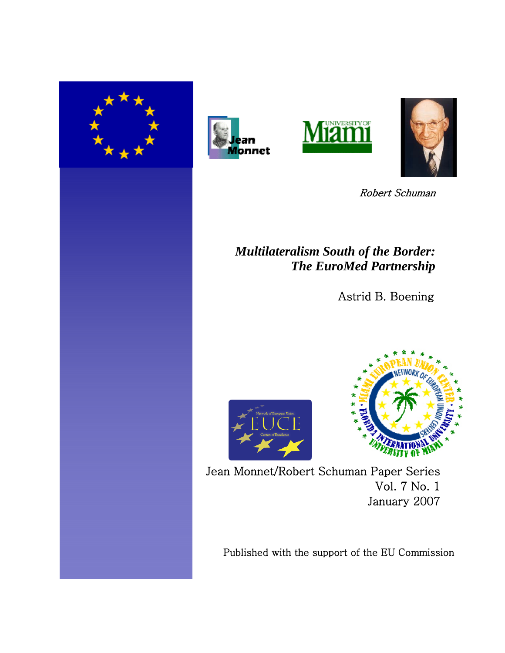







Robert Schuman

*Multilateralism South of the Border: The EuroMed Partnership* 

Astrid B. Boening





Jean Monnet/Robert Schuman Paper Series Vol. 7 No. 1 January 2007

Published with the support of the EU Commission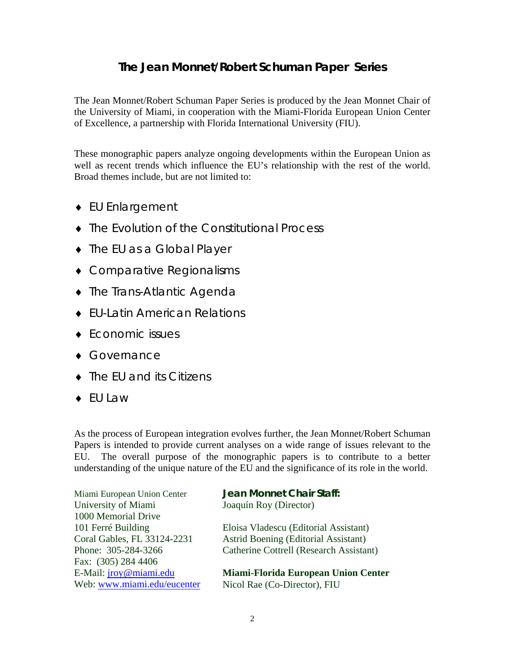# **The Jean Monnet/Robert Schuman Paper Series**

The Jean Monnet/Robert Schuman Paper Series is produced by the Jean Monnet Chair of the University of Miami, in cooperation with the Miami-Florida European Union Center of Excellence, a partnership with Florida International University (FIU).

These monographic papers analyze ongoing developments within the European Union as well as recent trends which influence the EU's relationship with the rest of the world. Broad themes include, but are not limited to:

- ♦ EU Enlargement
- ♦ The Evolution of the Constitutional Process
- ♦ The EU as a Global Player
- ♦ Comparative Regionalisms
- ♦ The Trans-Atlantic Agenda
- ♦ EU-Latin American Relations
- ♦ Economic issues
- ♦ Governance
- ♦ The EU and its Citizens
- ♦ EU Law

As the process of European integration evolves further, the Jean Monnet/Robert Schuman Papers is intended to provide current analyses on a wide range of issues relevant to the EU. The overall purpose of the monographic papers is to contribute to a better understanding of the unique nature of the EU and the significance of its role in the world.

| Miami European Union Center   | Jean Monnet Chair Staff:                   |
|-------------------------------|--------------------------------------------|
| University of Miami           | Joaquín Roy (Director)                     |
| 1000 Memorial Drive           |                                            |
| 101 Ferré Building            | Eloisa Vladescu (Editorial Assistant)      |
| Coral Gables, FL 33124-2231   | Astrid Boening (Editorial Assistant)       |
| Phone: 305-284-3266           | Catherine Cottrell (Research Assistant)    |
| Fax: (305) 284 4406           |                                            |
| E-Mail: <i>jroy@miami.edu</i> | <b>Miami-Florida European Union Center</b> |
| Web: www.miami.edu/eucenter   | Nicol Rae (Co-Director), FIU               |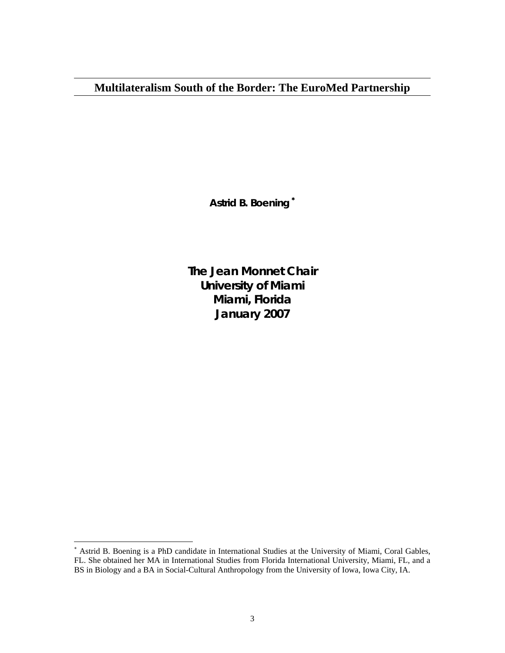**Multilateralism South of the Border: The EuroMed Partnership** 

֦

 $\overline{a}$ 

**Astrid B. Boening** <sup>∗</sup>

**The Jean Monnet Chair University of Miami Miami, Florida January 2007**

<sup>∗</sup> Astrid B. Boening is a PhD candidate in International Studies at the University of Miami, Coral Gables, FL. She obtained her MA in International Studies from Florida International University, Miami, FL, and a BS in Biology and a BA in Social-Cultural Anthropology from the University of Iowa, Iowa City, IA.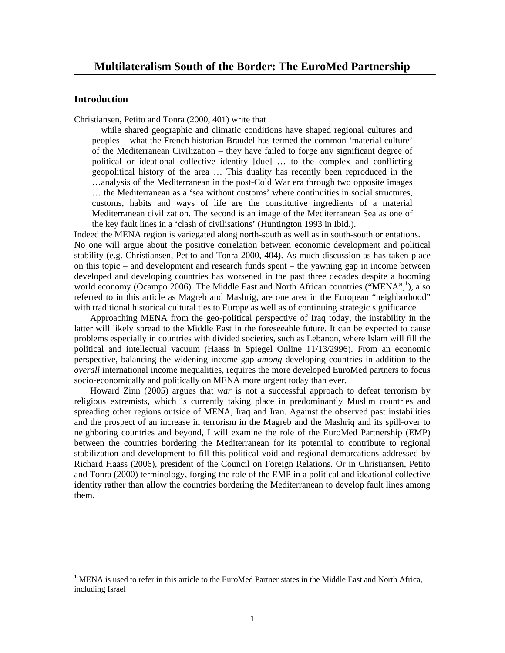## **Introduction**

 $\overline{a}$ 

Christiansen, Petito and Tonra (2000, 401) write that

 while shared geographic and climatic conditions have shaped regional cultures and peoples – what the French historian Braudel has termed the common 'material culture' of the Mediterranean Civilization – they have failed to forge any significant degree of political or ideational collective identity [due] … to the complex and conflicting geopolitical history of the area … This duality has recently been reproduced in the …analysis of the Mediterranean in the post-Cold War era through two opposite images … the Mediterranean as a 'sea without customs' where continuities in social structures, customs, habits and ways of life are the constitutive ingredients of a material Mediterranean civilization. The second is an image of the Mediterranean Sea as one of the key fault lines in a 'clash of civilisations' (Huntington 1993 in Ibid.).

Indeed the MENA region is variegated along north-south as well as in south-south orientations. No one will argue about the positive correlation between economic development and political stability (e.g. Christiansen, Petito and Tonra 2000, 404). As much discussion as has taken place on this topic – and development and research funds spent – the yawning gap in income between developed and developing countries has worsened in the past three decades despite a booming world economy (Ocampo 2006). The Middle East and North African countries ("MENA",<sup>1</sup>), also referred to in this article as Magreb and Mashrig, are one area in the European "neighborhood" with traditional historical cultural ties to Europe as well as of continuing strategic significance.

 Approaching MENA from the geo-political perspective of Iraq today, the instability in the latter will likely spread to the Middle East in the foreseeable future. It can be expected to cause problems especially in countries with divided societies, such as Lebanon, where Islam will fill the political and intellectual vacuum (Haass in Spiegel Online 11/13/2996). From an economic perspective, balancing the widening income gap *among* developing countries in addition to the *overall* international income inequalities, requires the more developed EuroMed partners to focus socio-economically and politically on MENA more urgent today than ever.

 Howard Zinn (2005) argues that *war* is not a successful approach to defeat terrorism by religious extremists, which is currently taking place in predominantly Muslim countries and spreading other regions outside of MENA, Iraq and Iran. Against the observed past instabilities and the prospect of an increase in terrorism in the Magreb and the Mashriq and its spill-over to neighboring countries and beyond, I will examine the role of the EuroMed Partnership (EMP) between the countries bordering the Mediterranean for its potential to contribute to regional stabilization and development to fill this political void and regional demarcations addressed by Richard Haass (2006), president of the Council on Foreign Relations. Or in Christiansen, Petito and Tonra (2000) terminology, forging the role of the EMP in a political and ideational collective identity rather than allow the countries bordering the Mediterranean to develop fault lines among them.

<sup>&</sup>lt;sup>1</sup> MENA is used to refer in this article to the EuroMed Partner states in the Middle East and North Africa, including Israel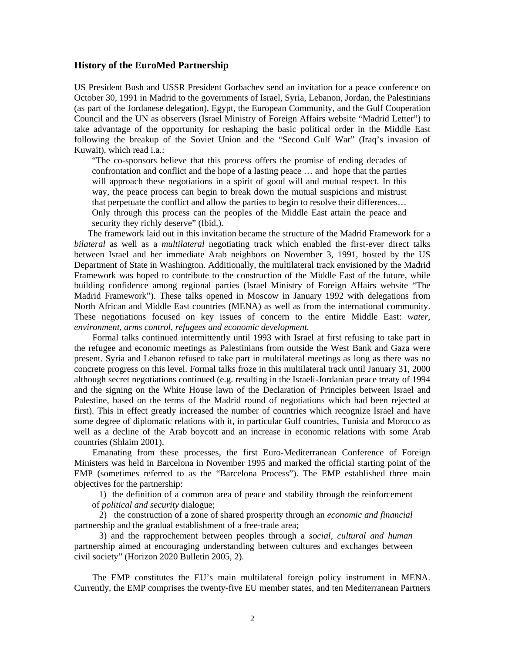#### **History of the EuroMed Partnership**

US President Bush and USSR President Gorbachev send an invitation for a peace conference on October 30, 1991 in Madrid to the governments of Israel, Syria, Lebanon, Jordan, the Palestinians (as part of the Jordanese delegation), Egypt, the European Community, and the Gulf Cooperation Council and the UN as observers (Israel Ministry of Foreign Affairs website "Madrid Letter") to take advantage of the opportunity for reshaping the basic political order in the Middle East following the breakup of the Soviet Union and the "Second Gulf War" (Iraq's invasion of Kuwait), which read i.a.:

"The co-sponsors believe that this process offers the promise of ending decades of confrontation and conflict and the hope of a lasting peace … and hope that the parties will approach these negotiations in a spirit of good will and mutual respect. In this way, the peace process can begin to break down the mutual suspicions and mistrust that perpetuate the conflict and allow the parties to begin to resolve their differences… Only through this process can the peoples of the Middle East attain the peace and security they richly deserve" (Ibid.).

 The framework laid out in this invitation became the structure of the Madrid Framework for a *bilateral* as well as a *multilateral* negotiating track which enabled the first-ever direct talks between Israel and her immediate Arab neighbors on November 3, 1991, hosted by the US Department of State in Washington. Additionally, the multilateral track envisioned by the Madrid Framework was hoped to contribute to the construction of the Middle East of the future, while building confidence among regional parties (Israel Ministry of Foreign Affairs website "The Madrid Framework"). These talks opened in Moscow in January 1992 with delegations from North African and Middle East countries (MENA) as well as from the international community. These negotiations focused on key issues of concern to the entire Middle East: *water, environment, arms control, refugees and economic development.* 

 Formal talks continued intermittently until 1993 with Israel at first refusing to take part in the refugee and economic meetings as Palestinians from outside the West Bank and Gaza were present. Syria and Lebanon refused to take part in multilateral meetings as long as there was no concrete progress on this level. Formal talks froze in this multilateral track until January 31, 2000 although secret negotiations continued (e.g. resulting in the Israeli-Jordanian peace treaty of 1994 and the signing on the White House lawn of the Declaration of Principles between Israel and Palestine, based on the terms of the Madrid round of negotiations which had been rejected at first). This in effect greatly increased the number of countries which recognize Israel and have some degree of diplomatic relations with it, in particular Gulf countries, Tunisia and Morocco as well as a decline of the Arab boycott and an increase in economic relations with some Arab countries (Shlaim 2001).

 Emanating from these processes, the first Euro-Mediterranean Conference of Foreign Ministers was held in Barcelona in November 1995 and marked the official starting point of the EMP (sometimes referred to as the "Barcelona Process"). The EMP established three main objectives for the partnership:

 1) the definition of a common area of peace and stability through the reinforcement of *political and security* dialogue;

 2) the construction of a zone of shared prosperity through an *economic and financial*  partnership and the gradual establishment of a free-trade area;

 3) and the rapprochement between peoples through a *social, cultural and human*  partnership aimed at encouraging understanding between cultures and exchanges between civil society" (Horizon 2020 Bulletin 2005, 2).

 The EMP constitutes the EU's main multilateral foreign policy instrument in MENA. Currently, the EMP comprises the twenty-five EU member states, and ten Mediterranean Partners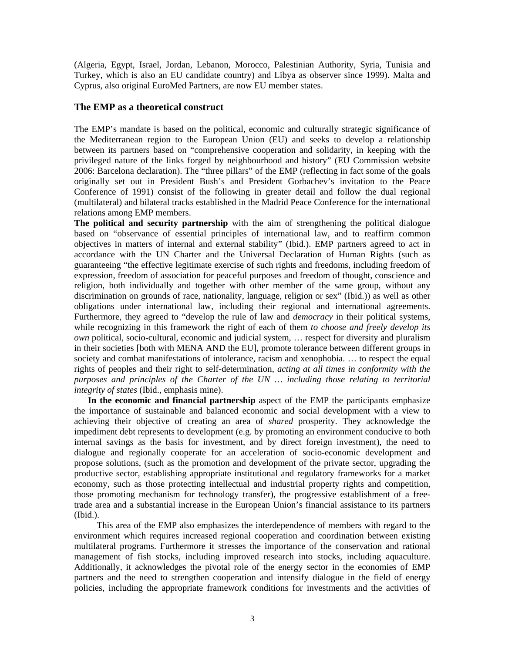(Algeria, Egypt, Israel, Jordan, Lebanon, Morocco, Palestinian Authority, Syria, Tunisia and Turkey, which is also an EU candidate country) and Libya as observer since 1999). Malta and Cyprus, also original EuroMed Partners, are now EU member states.

## **The EMP as a theoretical construct**

The EMP's mandate is based on the political, economic and culturally strategic significance of the Mediterranean region to the European Union (EU) and seeks to develop a relationship between its partners based on "comprehensive cooperation and solidarity, in keeping with the privileged nature of the links forged by neighbourhood and history" (EU Commission website 2006: Barcelona declaration). The "three pillars" of the EMP (reflecting in fact some of the goals originally set out in President Bush's and President Gorbachev's invitation to the Peace Conference of 1991) consist of the following in greater detail and follow the dual regional (multilateral) and bilateral tracks established in the Madrid Peace Conference for the international relations among EMP members.

**The political and security partnership** with the aim of strengthening the political dialogue based on "observance of essential principles of international law, and to reaffirm common objectives in matters of internal and external stability" (Ibid.). EMP partners agreed to act in accordance with the UN Charter and the Universal Declaration of Human Rights (such as guaranteeing "the effective legitimate exercise of such rights and freedoms, including freedom of expression, freedom of association for peaceful purposes and freedom of thought, conscience and religion, both individually and together with other member of the same group, without any discrimination on grounds of race, nationality, language, religion or sex" (Ibid.)) as well as other obligations under international law, including their regional and international agreements. Furthermore, they agreed to "develop the rule of law and *democracy* in their political systems, while recognizing in this framework the right of each of them *to choose and freely develop its own* political, socio-cultural, economic and judicial system, … respect for diversity and pluralism in their societies [both with MENA AND the EU], promote tolerance between different groups in society and combat manifestations of intolerance, racism and xenophobia. … to respect the equal rights of peoples and their right to self-determination, *acting at all times in conformity with the purposes and principles of the Charter of the UN … including those relating to territorial integrity of states* (Ibid., emphasis mine).

 **In the economic and financial partnership** aspect of the EMP the participants emphasize the importance of sustainable and balanced economic and social development with a view to achieving their objective of creating an area of *shared* prosperity. They acknowledge the impediment debt represents to development (e.g. by promoting an environment conducive to both internal savings as the basis for investment, and by direct foreign investment), the need to dialogue and regionally cooperate for an acceleration of socio-economic development and propose solutions, (such as the promotion and development of the private sector, upgrading the productive sector, establishing appropriate institutional and regulatory frameworks for a market economy, such as those protecting intellectual and industrial property rights and competition, those promoting mechanism for technology transfer), the progressive establishment of a freetrade area and a substantial increase in the European Union's financial assistance to its partners (Ibid.).

 This area of the EMP also emphasizes the interdependence of members with regard to the environment which requires increased regional cooperation and coordination between existing multilateral programs. Furthermore it stresses the importance of the conservation and rational management of fish stocks, including improved research into stocks, including aquaculture. Additionally, it acknowledges the pivotal role of the energy sector in the economies of EMP partners and the need to strengthen cooperation and intensify dialogue in the field of energy policies, including the appropriate framework conditions for investments and the activities of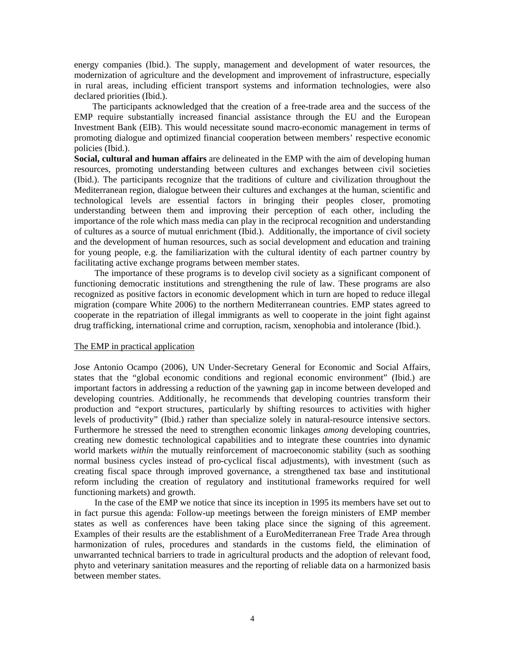energy companies (Ibid.). The supply, management and development of water resources, the modernization of agriculture and the development and improvement of infrastructure, especially in rural areas, including efficient transport systems and information technologies, were also declared priorities (Ibid.).

 The participants acknowledged that the creation of a free-trade area and the success of the EMP require substantially increased financial assistance through the EU and the European Investment Bank (EIB). This would necessitate sound macro-economic management in terms of promoting dialogue and optimized financial cooperation between members' respective economic policies (Ibid.).

**Social, cultural and human affairs** are delineated in the EMP with the aim of developing human resources, promoting understanding between cultures and exchanges between civil societies (Ibid.). The participants recognize that the traditions of culture and civilization throughout the Mediterranean region, dialogue between their cultures and exchanges at the human, scientific and technological levels are essential factors in bringing their peoples closer, promoting understanding between them and improving their perception of each other, including the importance of the role which mass media can play in the reciprocal recognition and understanding of cultures as a source of mutual enrichment (Ibid.). Additionally, the importance of civil society and the development of human resources, such as social development and education and training for young people, e.g. the familiarization with the cultural identity of each partner country by facilitating active exchange programs between member states.

 The importance of these programs is to develop civil society as a significant component of functioning democratic institutions and strengthening the rule of law. These programs are also recognized as positive factors in economic development which in turn are hoped to reduce illegal migration (compare White 2006) to the northern Mediterranean countries. EMP states agreed to cooperate in the repatriation of illegal immigrants as well to cooperate in the joint fight against drug trafficking, international crime and corruption, racism, xenophobia and intolerance (Ibid.).

#### The EMP in practical application

Jose Antonio Ocampo (2006), UN Under-Secretary General for Economic and Social Affairs, states that the "global economic conditions and regional economic environment" (Ibid.) are important factors in addressing a reduction of the yawning gap in income between developed and developing countries. Additionally, he recommends that developing countries transform their production and "export structures, particularly by shifting resources to activities with higher levels of productivity" (Ibid.) rather than specialize solely in natural-resource intensive sectors. Furthermore he stressed the need to strengthen economic linkages *among* developing countries, creating new domestic technological capabilities and to integrate these countries into dynamic world markets *within* the mutually reinforcement of macroeconomic stability (such as soothing normal business cycles instead of pro-cyclical fiscal adjustments), with investment (such as creating fiscal space through improved governance, a strengthened tax base and institutional reform including the creation of regulatory and institutional frameworks required for well functioning markets) and growth.

 In the case of the EMP we notice that since its inception in 1995 its members have set out to in fact pursue this agenda: Follow-up meetings between the foreign ministers of EMP member states as well as conferences have been taking place since the signing of this agreement. Examples of their results are the establishment of a EuroMediterranean Free Trade Area through harmonization of rules, procedures and standards in the customs field, the elimination of unwarranted technical barriers to trade in agricultural products and the adoption of relevant food, phyto and veterinary sanitation measures and the reporting of reliable data on a harmonized basis between member states.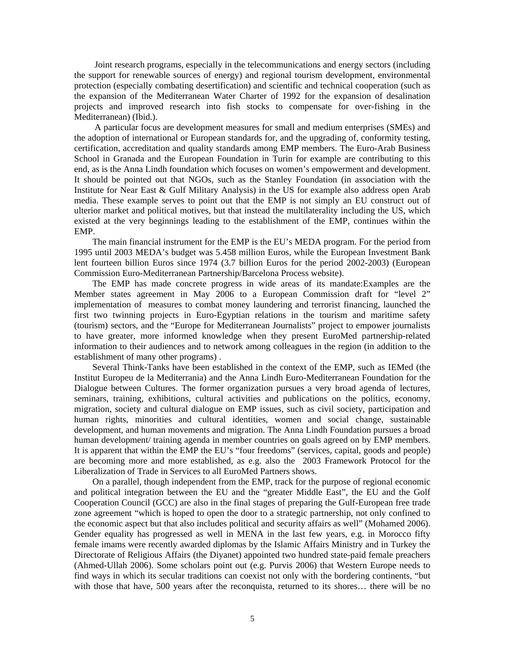Joint research programs, especially in the telecommunications and energy sectors (including the support for renewable sources of energy) and regional tourism development, environmental protection (especially combating desertification) and scientific and technical cooperation (such as the expansion of the Mediterranean Water Charter of 1992 for the expansion of desalination projects and improved research into fish stocks to compensate for over-fishing in the Mediterranean) (Ibid.).

 A particular focus are development measures for small and medium enterprises (SMEs) and the adoption of international or European standards for, and the upgrading of, conformity testing, certification, accreditation and quality standards among EMP members. The Euro-Arab Business School in Granada and the European Foundation in Turin for example are contributing to this end, as is the Anna Lindh foundation which focuses on women's empowerment and development. It should be pointed out that NGOs, such as the Stanley Foundation (in association with the Institute for Near East & Gulf Military Analysis) in the US for example also address open Arab media. These example serves to point out that the EMP is not simply an EU construct out of ulterior market and political motives, but that instead the multilaterality including the US, which existed at the very beginnings leading to the establishment of the EMP, continues within the EMP.

 The main financial instrument for the EMP is the EU's MEDA program. For the period from 1995 until 2003 MEDA's budget was 5.458 million Euros, while the European Investment Bank lent fourteen billion Euros since 1974 (3.7 billion Euros for the period 2002-2003) (European Commission Euro-Mediterranean Partnership/Barcelona Process website).

 The EMP has made concrete progress in wide areas of its mandate:Examples are the Member states agreement in May 2006 to a European Commission draft for "level 2" implementation of measures to combat money laundering and terrorist financing, launched the first two twinning projects in Euro-Egyptian relations in the tourism and maritime safety (tourism) sectors, and the "Europe for Mediterranean Journalists" project to empower journalists to have greater, more informed knowledge when they present EuroMed partnership-related information to their audiences and to network among colleagues in the region (in addition to the establishment of many other programs) .

 Several Think-Tanks have been established in the context of the EMP, such as IEMed (the Institut Europeu de la Mediterrania) and the Anna Lindh Euro-Mediterranean Foundation for the Dialogue between Cultures. The former organization pursues a very broad agenda of lectures, seminars, training, exhibitions, cultural activities and publications on the politics, economy, migration, society and cultural dialogue on EMP issues, such as civil society, participation and human rights, minorities and cultural identities, women and social change, sustainable development, and human movements and migration. The Anna Lindh Foundation pursues a broad human development/ training agenda in member countries on goals agreed on by EMP members. It is apparent that within the EMP the EU's "four freedoms" (services, capital, goods and people) are becoming more and more established, as e.g. also the 2003 Framework Protocol for the Liberalization of Trade in Services to all EuroMed Partners shows.

 On a parallel, though independent from the EMP, track for the purpose of regional economic and political integration between the EU and the "greater Middle East", the EU and the Golf Cooperation Council (GCC) are also in the final stages of preparing the Gulf-European free trade zone agreement "which is hoped to open the door to a strategic partnership, not only confined to the economic aspect but that also includes political and security affairs as well" (Mohamed 2006). Gender equality has progressed as well in MENA in the last few years, e.g. in Morocco fifty female imams were recently awarded diplomas by the Islamic Affairs Ministry and in Turkey the Directorate of Religious Affairs (the Diyanet) appointed two hundred state-paid female preachers (Ahmed-Ullah 2006). Some scholars point out (e.g. Purvis 2006) that Western Europe needs to find ways in which its secular traditions can coexist not only with the bordering continents, "but with those that have, 500 years after the reconquista, returned to its shores… there will be no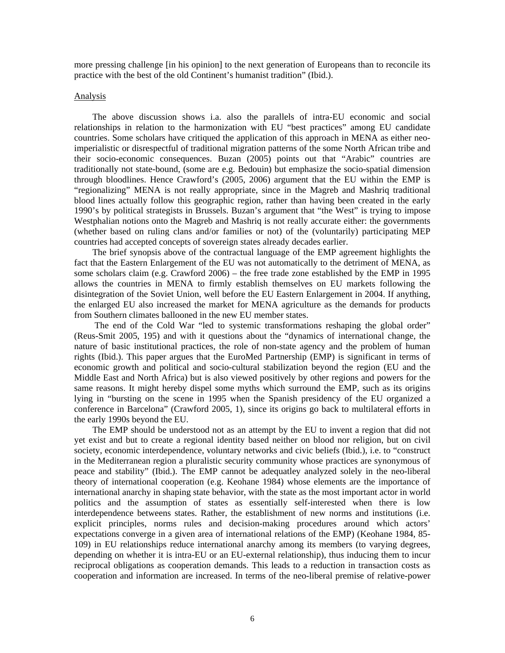more pressing challenge [in his opinion] to the next generation of Europeans than to reconcile its practice with the best of the old Continent's humanist tradition" (Ibid.).

#### Analysis

 The above discussion shows i.a. also the parallels of intra-EU economic and social relationships in relation to the harmonization with EU "best practices" among EU candidate countries. Some scholars have critiqued the application of this approach in MENA as either neoimperialistic or disrespectful of traditional migration patterns of the some North African tribe and their socio-economic consequences. Buzan (2005) points out that "Arabic" countries are traditionally not state-bound, (some are e.g. Bedouin) but emphasize the socio-spatial dimension through bloodlines. Hence Crawford's (2005, 2006) argument that the EU within the EMP is "regionalizing" MENA is not really appropriate, since in the Magreb and Mashriq traditional blood lines actually follow this geographic region, rather than having been created in the early 1990's by political strategists in Brussels. Buzan's argument that "the West" is trying to impose Westphalian notions onto the Magreb and Mashriq is not really accurate either: the governments (whether based on ruling clans and/or families or not) of the (voluntarily) participating MEP countries had accepted concepts of sovereign states already decades earlier.

 The brief synopsis above of the contractual language of the EMP agreement highlights the fact that the Eastern Enlargement of the EU was not automatically to the detriment of MENA, as some scholars claim (e.g. Crawford 2006) – the free trade zone established by the EMP in 1995 allows the countries in MENA to firmly establish themselves on EU markets following the disintegration of the Soviet Union, well before the EU Eastern Enlargement in 2004. If anything, the enlarged EU also increased the market for MENA agriculture as the demands for products from Southern climates ballooned in the new EU member states.

The end of the Cold War "led to systemic transformations reshaping the global order" (Reus-Smit 2005, 195) and with it questions about the "dynamics of international change, the nature of basic institutional practices, the role of non-state agency and the problem of human rights (Ibid.). This paper argues that the EuroMed Partnership (EMP) is significant in terms of economic growth and political and socio-cultural stabilization beyond the region (EU and the Middle East and North Africa) but is also viewed positively by other regions and powers for the same reasons. It might hereby dispel some myths which surround the EMP, such as its origins lying in "bursting on the scene in 1995 when the Spanish presidency of the EU organized a conference in Barcelona" (Crawford 2005, 1), since its origins go back to multilateral efforts in the early 1990s beyond the EU.

 The EMP should be understood not as an attempt by the EU to invent a region that did not yet exist and but to create a regional identity based neither on blood nor religion, but on civil society, economic interdependence, voluntary networks and civic beliefs (Ibid.), i.e. to "construct in the Mediterranean region a pluralistic security community whose practices are synonymous of peace and stability" (Ibid.). The EMP cannot be adequatley analyzed solely in the neo-liberal theory of international cooperation (e.g. Keohane 1984) whose elements are the importance of international anarchy in shaping state behavior, with the state as the most important actor in world politics and the assumption of states as essentially self-interested when there is low interdependence betweens states. Rather, the establishment of new norms and institutions (i.e. explicit principles, norms rules and decision-making procedures around which actors' expectations converge in a given area of international relations of the EMP) (Keohane 1984, 85- 109) in EU relationships reduce international anarchy among its members (to varying degrees, depending on whether it is intra-EU or an EU-external relationship), thus inducing them to incur reciprocal obligations as cooperation demands. This leads to a reduction in transaction costs as cooperation and information are increased. In terms of the neo-liberal premise of relative-power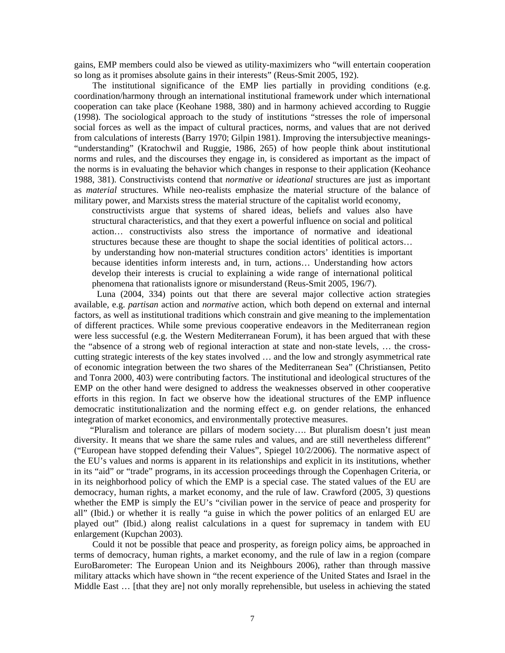gains, EMP members could also be viewed as utility-maximizers who "will entertain cooperation so long as it promises absolute gains in their interests" (Reus-Smit 2005, 192).

 The institutional significance of the EMP lies partially in providing conditions (e.g. coordination/harmony through an international institutional framework under which international cooperation can take place (Keohane 1988, 380) and in harmony achieved according to Ruggie (1998). The sociological approach to the study of institutions "stresses the role of impersonal social forces as well as the impact of cultural practices, norms, and values that are not derived from calculations of interests (Barry 1970; Gilpin 1981). Improving the intersubjective meanings- "understanding" (Kratochwil and Ruggie, 1986, 265) of how people think about institutional norms and rules, and the discourses they engage in, is considered as important as the impact of the norms is in evaluating the behavior which changes in response to their application (Keohance 1988, 381). Constructivists contend that *normative* or *ideational* structures are just as important as *material* structures. While neo-realists emphasize the material structure of the balance of military power, and Marxists stress the material structure of the capitalist world economy,

constructivists argue that systems of shared ideas, beliefs and values also have structural characteristics, and that they exert a powerful influence on social and political action… constructivists also stress the importance of normative and ideational structures because these are thought to shape the social identities of political actors… by understanding how non-material structures condition actors' identities is important because identities inform interests and, in turn, actions… Understanding how actors develop their interests is crucial to explaining a wide range of international political phenomena that rationalists ignore or misunderstand (Reus-Smit 2005, 196/7).

 Luna (2004, 334) points out that there are several major collective action strategies available, e.g. *partisan* action and *normative* action, which both depend on external and internal factors, as well as institutional traditions which constrain and give meaning to the implementation of different practices. While some previous cooperative endeavors in the Mediterranean region were less successful (e.g. the Western Mediterranean Forum), it has been argued that with these the "absence of a strong web of regional interaction at state and non-state levels, … the crosscutting strategic interests of the key states involved … and the low and strongly asymmetrical rate of economic integration between the two shares of the Mediterranean Sea" (Christiansen, Petito and Tonra 2000, 403) were contributing factors. The institutional and ideological structures of the EMP on the other hand were designed to address the weaknesses observed in other cooperative efforts in this region. In fact we observe how the ideational structures of the EMP influence democratic institutionalization and the norming effect e.g. on gender relations, the enhanced integration of market economics, and environmentally protective measures.

 "Pluralism and tolerance are pillars of modern society…. But pluralism doesn't just mean diversity. It means that we share the same rules and values, and are still nevertheless different" ("European have stopped defending their Values", Spiegel  $10/2/2006$ ). The normative aspect of the EU's values and norms is apparent in its relationships and explicit in its institutions, whether in its "aid" or "trade" programs, in its accession proceedings through the Copenhagen Criteria, or in its neighborhood policy of which the EMP is a special case. The stated values of the EU are democracy, human rights, a market economy, and the rule of law. Crawford (2005, 3) questions whether the EMP is simply the EU's "civilian power in the service of peace and prosperity for all" (Ibid.) or whether it is really "a guise in which the power politics of an enlarged EU are played out" (Ibid.) along realist calculations in a quest for supremacy in tandem with EU enlargement (Kupchan 2003).

 Could it not be possible that peace and prosperity, as foreign policy aims, be approached in terms of democracy, human rights, a market economy, and the rule of law in a region (compare EuroBarometer: The European Union and its Neighbours 2006), rather than through massive military attacks which have shown in "the recent experience of the United States and Israel in the Middle East … [that they are] not only morally reprehensible, but useless in achieving the stated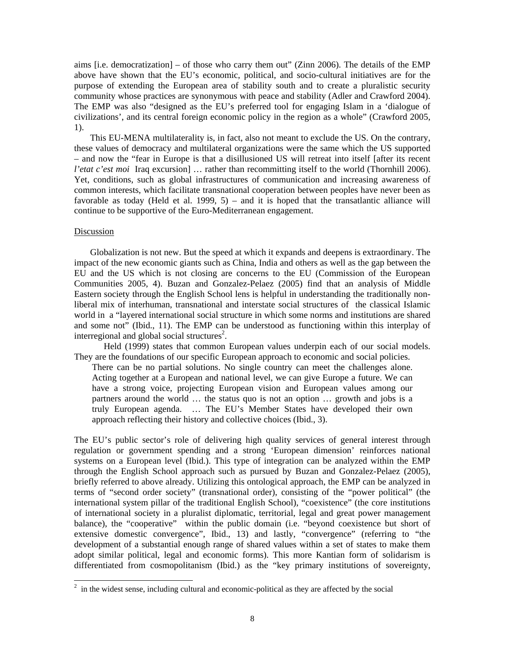aims [i.e. democratization] – of those who carry them out" (Zinn 2006). The details of the EMP above have shown that the EU's economic, political, and socio-cultural initiatives are for the purpose of extending the European area of stability south and to create a pluralistic security community whose practices are synonymous with peace and stability (Adler and Crawford 2004). The EMP was also "designed as the EU's preferred tool for engaging Islam in a 'dialogue of civilizations', and its central foreign economic policy in the region as a whole" (Crawford 2005, 1).

 This EU-MENA multilaterality is, in fact, also not meant to exclude the US. On the contrary, these values of democracy and multilateral organizations were the same which the US supported – and now the "fear in Europe is that a disillusioned US will retreat into itself [after its recent *l'etat c'est moi* Iraq excursion] ... rather than recommitting itself to the world (Thornhill 2006). Yet, conditions, such as global infrastructures of communication and increasing awareness of common interests, which facilitate transnational cooperation between peoples have never been as favorable as today (Held et al. 1999, 5) – and it is hoped that the transatlantic alliance will continue to be supportive of the Euro-Mediterranean engagement.

### Discussion

 $\overline{a}$ 

 Globalization is not new. But the speed at which it expands and deepens is extraordinary. The impact of the new economic giants such as China, India and others as well as the gap between the EU and the US which is not closing are concerns to the EU (Commission of the European Communities 2005, 4). Buzan and Gonzalez-Pelaez (2005) find that an analysis of Middle Eastern society through the English School lens is helpful in understanding the traditionally nonliberal mix of interhuman, transnational and interstate social structures of the classical Islamic world in a "layered international social structure in which some norms and institutions are shared and some not" (Ibid., 11). The EMP can be understood as functioning within this interplay of interregional and global social structures<sup>2</sup>.

 Held (1999) states that common European values underpin each of our social models. They are the foundations of our specific European approach to economic and social policies.

There can be no partial solutions. No single country can meet the challenges alone. Acting together at a European and national level, we can give Europe a future. We can have a strong voice, projecting European vision and European values among our partners around the world … the status quo is not an option … growth and jobs is a truly European agenda. … The EU's Member States have developed their own approach reflecting their history and collective choices (Ibid., 3).

The EU's public sector's role of delivering high quality services of general interest through regulation or government spending and a strong 'European dimension' reinforces national systems on a European level (Ibid.). This type of integration can be analyzed within the EMP through the English School approach such as pursued by Buzan and Gonzalez-Pelaez (2005), briefly referred to above already. Utilizing this ontological approach, the EMP can be analyzed in terms of "second order society" (transnational order), consisting of the "power political" (the international system pillar of the traditional English School), "coexistence" (the core institutions of international society in a pluralist diplomatic, territorial, legal and great power management balance), the "cooperative" within the public domain (i.e. "beyond coexistence but short of extensive domestic convergence", Ibid., 13) and lastly, "convergence" (referring to "the development of a substantial enough range of shared values within a set of states to make them adopt similar political, legal and economic forms). This more Kantian form of solidarism is differentiated from cosmopolitanism (Ibid.) as the "key primary institutions of sovereignty,

 $2$  in the widest sense, including cultural and economic-political as they are affected by the social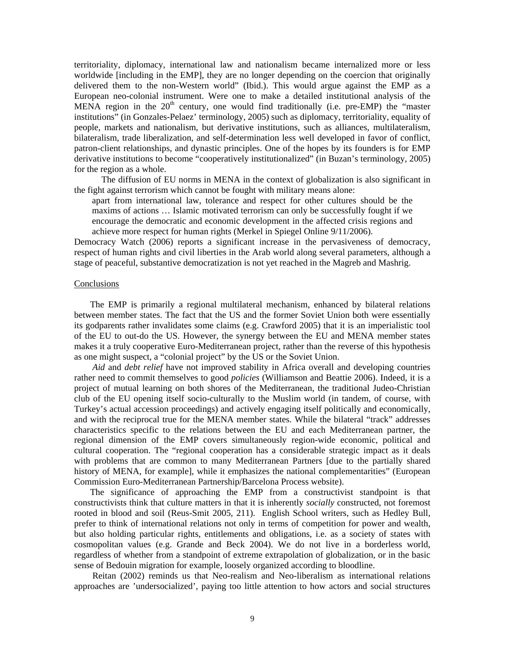territoriality, diplomacy, international law and nationalism became internalized more or less worldwide [including in the EMP], they are no longer depending on the coercion that originally delivered them to the non-Western world" (Ibid.). This would argue against the EMP as a European neo-colonial instrument. Were one to make a detailed institutional analysis of the MENA region in the  $20<sup>th</sup>$  century, one would find traditionally (i.e. pre-EMP) the "master institutions" (in Gonzales-Pelaez' terminology, 2005) such as diplomacy, territoriality, equality of people, markets and nationalism, but derivative institutions, such as alliances, multilateralism, bilateralism, trade liberalization, and self-determination less well developed in favor of conflict, patron-client relationships, and dynastic principles. One of the hopes by its founders is for EMP derivative institutions to become "cooperatively institutionalized" (in Buzan's terminology, 2005) for the region as a whole.

 The diffusion of EU norms in MENA in the context of globalization is also significant in the fight against terrorism which cannot be fought with military means alone:

apart from international law, tolerance and respect for other cultures should be the maxims of actions … Islamic motivated terrorism can only be successfully fought if we encourage the democratic and economic development in the affected crisis regions and achieve more respect for human rights (Merkel in Spiegel Online 9/11/2006).

Democracy Watch (2006) reports a significant increase in the pervasiveness of democracy, respect of human rights and civil liberties in the Arab world along several parameters, although a stage of peaceful, substantive democratization is not yet reached in the Magreb and Mashrig.

#### Conclusions

 The EMP is primarily a regional multilateral mechanism, enhanced by bilateral relations between member states. The fact that the US and the former Soviet Union both were essentially its godparents rather invalidates some claims (e.g. Crawford 2005) that it is an imperialistic tool of the EU to out-do the US. However, the synergy between the EU and MENA member states makes it a truly cooperative Euro-Mediterranean project, rather than the reverse of this hypothesis as one might suspect, a "colonial project" by the US or the Soviet Union.

 *Aid* and *debt relief* have not improved stability in Africa overall and developing countries rather need to commit themselves to good *policies* (Williamson and Beattie 2006). Indeed, it is a project of mutual learning on both shores of the Mediterranean, the traditional Judeo-Christian club of the EU opening itself socio-culturally to the Muslim world (in tandem, of course, with Turkey's actual accession proceedings) and actively engaging itself politically and economically, and with the reciprocal true for the MENA member states. While the bilateral "track" addresses characteristics specific to the relations between the EU and each Mediterranean partner, the regional dimension of the EMP covers simultaneously region-wide economic, political and cultural cooperation. The "regional cooperation has a considerable strategic impact as it deals with problems that are common to many Mediterranean Partners [due to the partially shared history of MENA, for example], while it emphasizes the national complementarities" (European Commission Euro-Mediterranean Partnership/Barcelona Process website).

 The significance of approaching the EMP from a constructivist standpoint is that constructivists think that culture matters in that it is inherently *socially* constructed, not foremost rooted in blood and soil (Reus-Smit 2005, 211). English School writers, such as Hedley Bull, prefer to think of international relations not only in terms of competition for power and wealth, but also holding particular rights, entitlements and obligations, i.e. as a society of states with cosmopolitan values (e.g. Grande and Beck 2004). We do not live in a borderless world, regardless of whether from a standpoint of extreme extrapolation of globalization, or in the basic sense of Bedouin migration for example, loosely organized according to bloodline.

 Reitan (2002) reminds us that Neo-realism and Neo-liberalism as international relations approaches are 'undersocialized', paying too little attention to how actors and social structures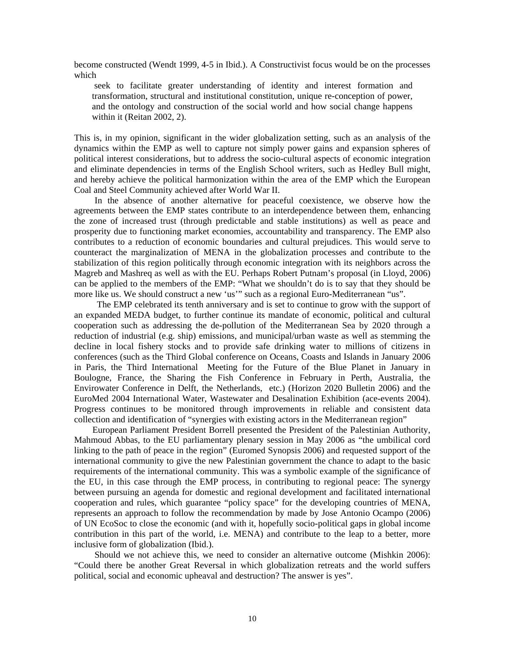become constructed (Wendt 1999, 4-5 in Ibid.). A Constructivist focus would be on the processes which

 seek to facilitate greater understanding of identity and interest formation and transformation, structural and institutional constitution, unique re-conception of power, and the ontology and construction of the social world and how social change happens within it (Reitan 2002, 2).

This is, in my opinion, significant in the wider globalization setting, such as an analysis of the dynamics within the EMP as well to capture not simply power gains and expansion spheres of political interest considerations, but to address the socio-cultural aspects of economic integration and eliminate dependencies in terms of the English School writers, such as Hedley Bull might, and hereby achieve the political harmonization within the area of the EMP which the European Coal and Steel Community achieved after World War II.

 In the absence of another alternative for peaceful coexistence, we observe how the agreements between the EMP states contribute to an interdependence between them, enhancing the zone of increased trust (through predictable and stable institutions) as well as peace and prosperity due to functioning market economies, accountability and transparency. The EMP also contributes to a reduction of economic boundaries and cultural prejudices. This would serve to counteract the marginalization of MENA in the globalization processes and contribute to the stabilization of this region politically through economic integration with its neighbors across the Magreb and Mashreq as well as with the EU. Perhaps Robert Putnam's proposal (in Lloyd, 2006) can be applied to the members of the EMP: "What we shouldn't do is to say that they should be more like us. We should construct a new 'us'" such as a regional Euro-Mediterranean "us".

 The EMP celebrated its tenth anniversary and is set to continue to grow with the support of an expanded MEDA budget, to further continue its mandate of economic, political and cultural cooperation such as addressing the de-pollution of the Mediterranean Sea by 2020 through a reduction of industrial (e.g. ship) emissions, and municipal/urban waste as well as stemming the decline in local fishery stocks and to provide safe drinking water to millions of citizens in conferences (such as the Third Global conference on Oceans, Coasts and Islands in January 2006 in Paris, the Third International Meeting for the Future of the Blue Planet in January in Boulogne, France, the Sharing the Fish Conference in February in Perth, Australia, the Envirowater Conference in Delft, the Netherlands, etc.) (Horizon 2020 Bulletin 2006) and the EuroMed 2004 International Water, Wastewater and Desalination Exhibition (ace-events 2004). Progress continues to be monitored through improvements in reliable and consistent data collection and identification of "synergies with existing actors in the Mediterranean region"

 European Parliament President Borrell presented the President of the Palestinian Authority, Mahmoud Abbas, to the EU parliamentary plenary session in May 2006 as "the umbilical cord linking to the path of peace in the region" (Euromed Synopsis 2006) and requested support of the international community to give the new Palestinian government the chance to adapt to the basic requirements of the international community. This was a symbolic example of the significance of the EU, in this case through the EMP process, in contributing to regional peace: The synergy between pursuing an agenda for domestic and regional development and facilitated international cooperation and rules, which guarantee "policy space" for the developing countries of MENA, represents an approach to follow the recommendation by made by Jose Antonio Ocampo (2006) of UN EcoSoc to close the economic (and with it, hopefully socio-political gaps in global income contribution in this part of the world, i.e. MENA) and contribute to the leap to a better, more inclusive form of globalization (Ibid.).

 Should we not achieve this, we need to consider an alternative outcome (Mishkin 2006): "Could there be another Great Reversal in which globalization retreats and the world suffers political, social and economic upheaval and destruction? The answer is yes".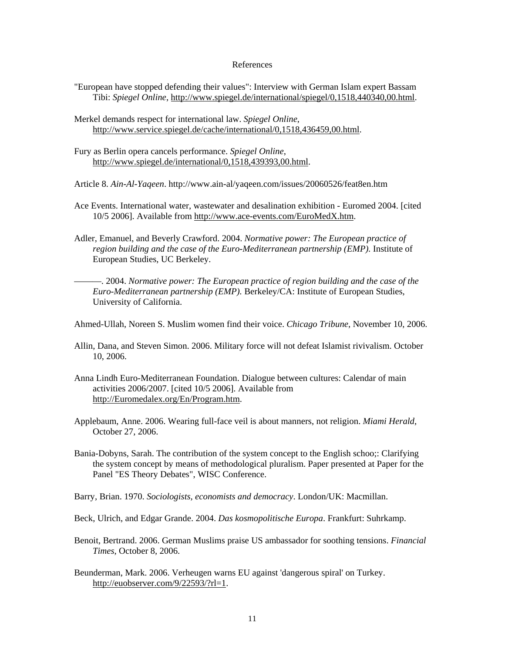#### References

- "European have stopped defending their values": Interview with German Islam expert Bassam Tibi: *Spiegel Online*, http://www.spiegel.de/international/spiegel/0,1518,440340,00.html.
- Merkel demands respect for international law. *Spiegel Online*, http://www.service.spiegel.de/cache/international/0,1518,436459,00.html.
- Fury as Berlin opera cancels performance. *Spiegel Online*, http://www.spiegel.de/international/0,1518,439393,00.html.
- Article 8. *Ain-Al-Yaqeen*. http://www.ain-al/yaqeen.com/issues/20060526/feat8en.htm
- Ace Events. International water, wastewater and desalination exhibition Euromed 2004. [cited 10/5 2006]. Available from http://www.ace-events.com/EuroMedX.htm.
- Adler, Emanuel, and Beverly Crawford. 2004. *Normative power: The European practice of region building and the case of the Euro-Mediterranean partnership (EMP)*. Institute of European Studies, UC Berkeley.

———. 2004. *Normative power: The European practice of region building and the case of the Euro-Mediterranean partnership (EMP).* Berkeley/CA: Institute of European Studies, University of California.

Ahmed-Ullah, Noreen S. Muslim women find their voice. *Chicago Tribune*, November 10, 2006.

- Allin, Dana, and Steven Simon. 2006. Military force will not defeat Islamist rivivalism. October 10, 2006.
- Anna Lindh Euro-Mediterranean Foundation. Dialogue between cultures: Calendar of main activities 2006/2007. [cited 10/5 2006]. Available from http://Euromedalex.org/En/Program.htm.
- Applebaum, Anne. 2006. Wearing full-face veil is about manners, not religion. *Miami Herald*, October 27, 2006.
- Bania-Dobyns, Sarah. The contribution of the system concept to the English schoo;: Clarifying the system concept by means of methodological pluralism. Paper presented at Paper for the Panel "ES Theory Debates", WISC Conference.
- Barry, Brian. 1970. *Sociologists, economists and democracy*. London/UK: Macmillan.
- Beck, Ulrich, and Edgar Grande. 2004. *Das kosmopolitische Europa*. Frankfurt: Suhrkamp.
- Benoit, Bertrand. 2006. German Muslims praise US ambassador for soothing tensions. *Financial Times*, October 8, 2006.
- Beunderman, Mark. 2006. Verheugen warns EU against 'dangerous spiral' on Turkey. http://euobserver.com/9/22593/?rl=1.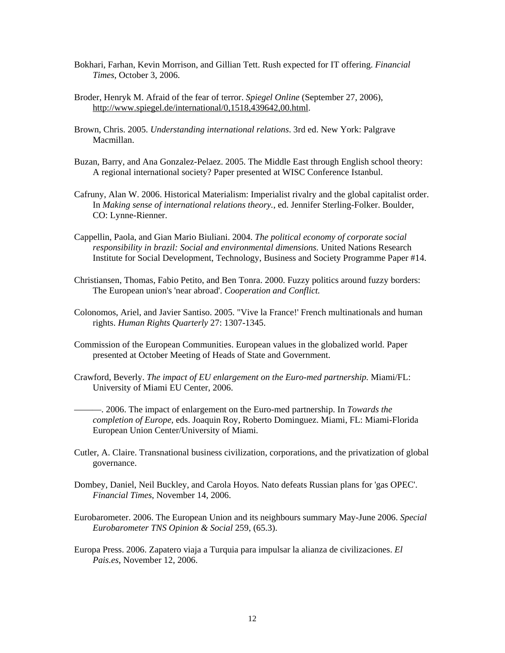- Bokhari, Farhan, Kevin Morrison, and Gillian Tett. Rush expected for IT offering. *Financial Times*, October 3, 2006.
- Broder, Henryk M. Afraid of the fear of terror. *Spiegel Online* (September 27, 2006), http://www.spiegel.de/international/0,1518,439642,00.html.
- Brown, Chris. 2005. *Understanding international relations*. 3rd ed. New York: Palgrave Macmillan.
- Buzan, Barry, and Ana Gonzalez-Pelaez. 2005. The Middle East through English school theory: A regional international society? Paper presented at WISC Conference Istanbul.
- Cafruny, Alan W. 2006. Historical Materialism: Imperialist rivalry and the global capitalist order. In *Making sense of international relations theory.*, ed. Jennifer Sterling-Folker. Boulder, CO: Lynne-Rienner.
- Cappellin, Paola, and Gian Mario Biuliani. 2004. *The political economy of corporate social responsibility in brazil: Social and environmental dimensions.* United Nations Research Institute for Social Development, Technology, Business and Society Programme Paper #14.
- Christiansen, Thomas, Fabio Petito, and Ben Tonra. 2000. Fuzzy politics around fuzzy borders: The European union's 'near abroad'. *Cooperation and Conflict.*
- Colonomos, Ariel, and Javier Santiso. 2005. "Vive la France!' French multinationals and human rights. *Human Rights Quarterly* 27: 1307-1345.
- Commission of the European Communities. European values in the globalized world. Paper presented at October Meeting of Heads of State and Government.
- Crawford, Beverly. *The impact of EU enlargement on the Euro-med partnership.* Miami/FL: University of Miami EU Center, 2006.
	- ———. 2006. The impact of enlargement on the Euro-med partnership. In *Towards the completion of Europe*, eds. Joaquin Roy, Roberto Dominguez. Miami, FL: Miami-Florida European Union Center/University of Miami.
- Cutler, A. Claire. Transnational business civilization, corporations, and the privatization of global governance.
- Dombey, Daniel, Neil Buckley, and Carola Hoyos. Nato defeats Russian plans for 'gas OPEC'. *Financial Times*, November 14, 2006.
- Eurobarometer. 2006. The European Union and its neighbours summary May-June 2006. *Special Eurobarometer TNS Opinion & Social* 259, (65.3).
- Europa Press. 2006. Zapatero viaja a Turquia para impulsar la alianza de civilizaciones. *El Pais.es*, November 12, 2006.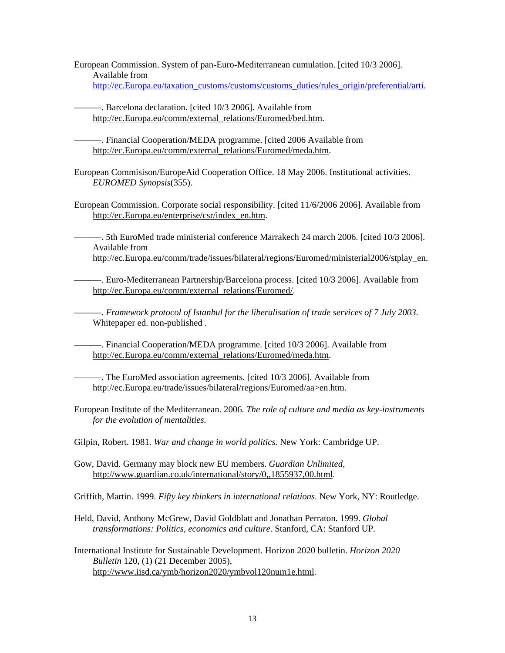European Commission. System of pan-Euro-Mediterranean cumulation. [cited 10/3 2006]. Available from http://ec.Europa.eu/taxation\_customs/customs/customs\_duties/rules\_origin/preferential/arti.

———. Barcelona declaration. [cited 10/3 2006]. Available from http://ec.Europa.eu/comm/external\_relations/Euromed/bed.htm.

———. Financial Cooperation/MEDA programme. [cited 2006 Available from http://ec.Europa.eu/comm/external\_relations/Euromed/meda.htm.

European Commisison/EuropeAid Cooperation Office. 18 May 2006. Institutional activities. *EUROMED Synopsis*(355).

European Commission. Corporate social responsibility. [cited 11/6/2006 2006]. Available from http://ec.Europa.eu/enterprise/csr/index\_en.htm.

———. 5th EuroMed trade ministerial conference Marrakech 24 march 2006. [cited 10/3 2006]. Available from

http://ec.Europa.eu/comm/trade/issues/bilateral/regions/Euromed/ministerial2006/stplay\_en.

———. Euro-Mediterranean Partnership/Barcelona process. [cited 10/3 2006]. Available from http://ec.Europa.eu/comm/external\_relations/Euromed/.

———. *Framework protocol of Istanbul for the liberalisation of trade services of 7 July 2003*. Whitepaper ed. non-published .

———. Financial Cooperation/MEDA programme. [cited 10/3 2006]. Available from http://ec.Europa.eu/comm/external\_relations/Euromed/meda.htm.

———. The EuroMed association agreements. [cited 10/3 2006]. Available from http://ec.Europa.eu/trade/issues/bilateral/regions/Euromed/aa>en.htm.

European Institute of the Mediterranean. 2006. *The role of culture and media as key-instruments for the evolution of mentalities.* 

Gilpin, Robert. 1981. *War and change in world politics.* New York: Cambridge UP.

Gow, David. Germany may block new EU members. *Guardian Unlimited*, http://www.guardian.co.uk/international/story/0,,1855937,00.html.

Griffith, Martin. 1999. *Fifty key thinkers in international relations*. New York, NY: Routledge.

Held, David, Anthony McGrew, David Goldblatt and Jonathan Perraton. 1999. *Global transformations: Politics, economics and culture*. Stanford, CA: Stanford UP.

International Institute for Sustainable Development. Horizon 2020 bulletin. *Horizon 2020 Bulletin* 120, (1) (21 December 2005), http://www.iisd.ca/ymb/horizon2020/ymbvol120num1e.html.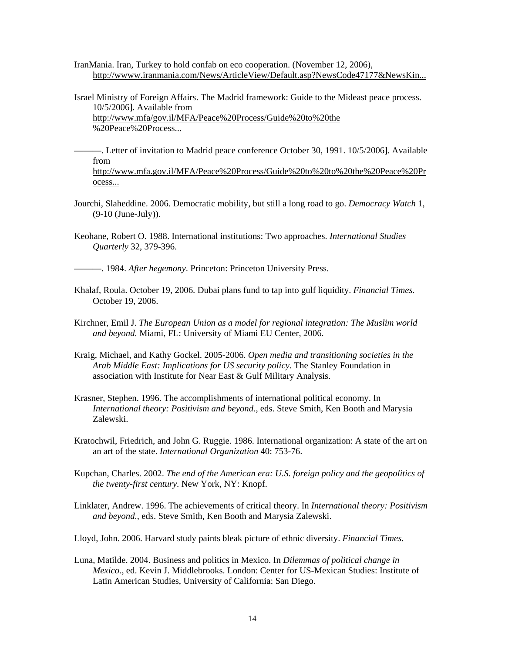- IranMania. Iran, Turkey to hold confab on eco cooperation. (November 12, 2006), http://wwww.iranmania.com/News/ArticleView/Default.asp?NewsCode47177&NewsKin...
- Israel Ministry of Foreign Affairs. The Madrid framework: Guide to the Mideast peace process. 10/5/2006]. Available from http://www.mfa/gov.il/MFA/Peace%20Process/Guide%20to%20the %20Peace%20Process...
- ———. Letter of invitation to Madrid peace conference October 30, 1991. 10/5/2006]. Available from http://www.mfa.gov.il/MFA/Peace%20Process/Guide%20to%20to%20the%20Peace%20Pr ocess...
- Jourchi, Slaheddine. 2006. Democratic mobility, but still a long road to go. *Democracy Watch* 1, (9-10 (June-July)).
- Keohane, Robert O. 1988. International institutions: Two approaches. *International Studies Quarterly* 32, 379-396.

———. 1984. *After hegemony*. Princeton: Princeton University Press.

- Khalaf, Roula. October 19, 2006. Dubai plans fund to tap into gulf liquidity. *Financial Times.*  October 19, 2006.
- Kirchner, Emil J. *The European Union as a model for regional integration: The Muslim world and beyond.* Miami, FL: University of Miami EU Center, 2006.
- Kraig, Michael, and Kathy Gockel. 2005-2006. *Open media and transitioning societies in the Arab Middle East: Implications for US security policy.* The Stanley Foundation in association with Institute for Near East & Gulf Military Analysis.
- Krasner, Stephen. 1996. The accomplishments of international political economy. In *International theory: Positivism and beyond.*, eds. Steve Smith, Ken Booth and Marysia Zalewski.
- Kratochwil, Friedrich, and John G. Ruggie. 1986. International organization: A state of the art on an art of the state. *International Organization* 40: 753-76.
- Kupchan, Charles. 2002. *The end of the American era: U.S. foreign policy and the geopolitics of the twenty-first century*. New York, NY: Knopf.
- Linklater, Andrew. 1996. The achievements of critical theory. In *International theory: Positivism and beyond.*, eds. Steve Smith, Ken Booth and Marysia Zalewski.
- Lloyd, John. 2006. Harvard study paints bleak picture of ethnic diversity. *Financial Times.*
- Luna, Matilde. 2004. Business and politics in Mexico. In *Dilemmas of political change in Mexico.*, ed. Kevin J. Middlebrooks. London: Center for US-Mexican Studies: Institute of Latin American Studies, University of California: San Diego.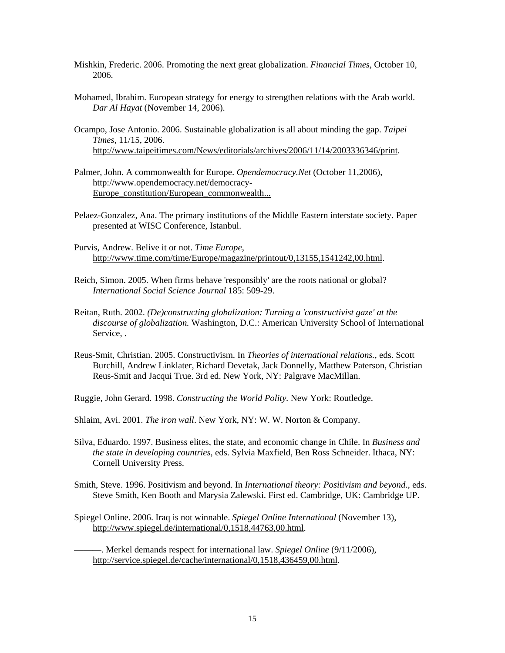- Mishkin, Frederic. 2006. Promoting the next great globalization. *Financial Times*, October 10, 2006.
- Mohamed, Ibrahim. European strategy for energy to strengthen relations with the Arab world. *Dar Al Hayat* (November 14, 2006).
- Ocampo, Jose Antonio. 2006. Sustainable globalization is all about minding the gap. *Taipei Times*, 11/15, 2006. http://www.taipeitimes.com/News/editorials/archives/2006/11/14/2003336346/print.
- Palmer, John. A commonwealth for Europe. *Opendemocracy.Net* (October 11,2006), http://www.opendemocracy.net/democracy-Europe\_constitution/European\_commonwealth...
- Pelaez-Gonzalez, Ana. The primary institutions of the Middle Eastern interstate society. Paper presented at WISC Conference, Istanbul.
- Purvis, Andrew. Belive it or not. *Time Europe*, http://www.time.com/time/Europe/magazine/printout/0,13155,1541242,00.html.
- Reich, Simon. 2005. When firms behave 'responsibly' are the roots national or global? *International Social Science Journal* 185: 509-29.
- Reitan, Ruth. 2002. *(De)constructing globalization: Turning a 'constructivist gaze' at the discourse of globalization.* Washington, D.C.: American University School of International Service, .
- Reus-Smit, Christian. 2005. Constructivism. In *Theories of international relations.*, eds. Scott Burchill, Andrew Linklater, Richard Devetak, Jack Donnelly, Matthew Paterson, Christian Reus-Smit and Jacqui True. 3rd ed. New York, NY: Palgrave MacMillan.
- Ruggie, John Gerard. 1998. *Constructing the World Polity.* New York: Routledge.
- Shlaim, Avi. 2001. *The iron wall*. New York, NY: W. W. Norton & Company.
- Silva, Eduardo. 1997. Business elites, the state, and economic change in Chile. In *Business and the state in developing countries*, eds. Sylvia Maxfield, Ben Ross Schneider. Ithaca, NY: Cornell University Press.
- Smith, Steve. 1996. Positivism and beyond. In *International theory: Positivism and beyond.*, eds. Steve Smith, Ken Booth and Marysia Zalewski. First ed. Cambridge, UK: Cambridge UP.
- Spiegel Online. 2006. Iraq is not winnable. *Spiegel Online International* (November 13), http://www.spiegel.de/international/0,1518,44763,00.html.

———. Merkel demands respect for international law. *Spiegel Online* (9/11/2006), http://service.spiegel.de/cache/international/0,1518,436459,00.html.